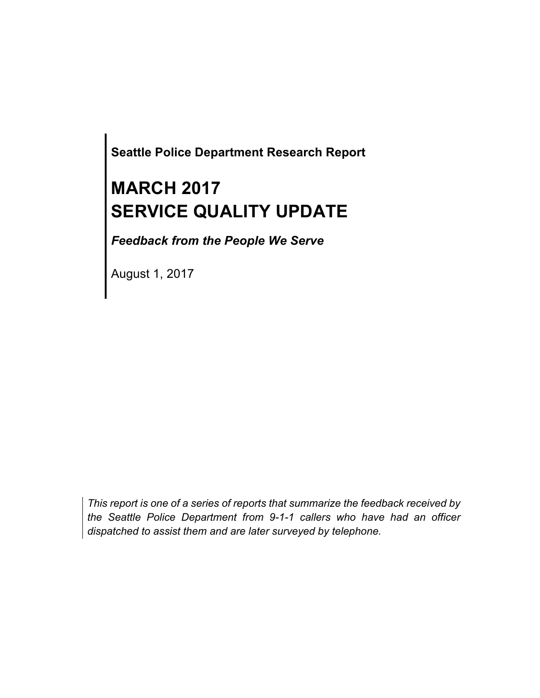**Seattle Police Department Research Report**

# **MARCH 2017 SERVICE QUALITY UPDATE**

*Feedback from the People We Serve*

August 1, 2017

*This report is one of a series of reports that summarize the feedback received by the Seattle Police Department from 9-1-1 callers who have had an officer dispatched to assist them and are later surveyed by telephone.*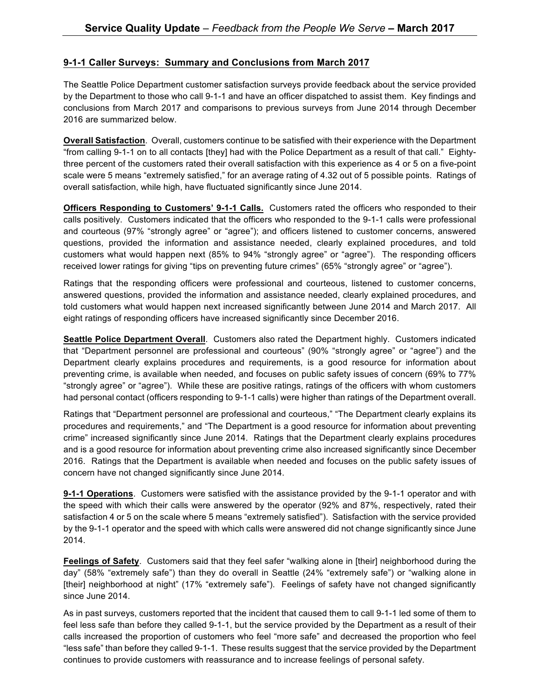#### **9-1-1 Caller Surveys: Summary and Conclusions from March 2017**

The Seattle Police Department customer satisfaction surveys provide feedback about the service provided by the Department to those who call 9-1-1 and have an officer dispatched to assist them. Key findings and conclusions from March 2017 and comparisons to previous surveys from June 2014 through December 2016 are summarized below.

**Overall Satisfaction**. Overall, customers continue to be satisfied with their experience with the Department "from calling 9-1-1 on to all contacts [they] had with the Police Department as a result of that call." Eightythree percent of the customers rated their overall satisfaction with this experience as 4 or 5 on a five-point scale were 5 means "extremely satisfied," for an average rating of 4.32 out of 5 possible points. Ratings of overall satisfaction, while high, have fluctuated significantly since June 2014.

**Officers Responding to Customers' 9-1-1 Calls.** Customers rated the officers who responded to their calls positively. Customers indicated that the officers who responded to the 9-1-1 calls were professional and courteous (97% "strongly agree" or "agree"); and officers listened to customer concerns, answered questions, provided the information and assistance needed, clearly explained procedures, and told customers what would happen next (85% to 94% "strongly agree" or "agree"). The responding officers received lower ratings for giving "tips on preventing future crimes" (65% "strongly agree" or "agree").

Ratings that the responding officers were professional and courteous, listened to customer concerns, answered questions, provided the information and assistance needed, clearly explained procedures, and told customers what would happen next increased significantly between June 2014 and March 2017. All eight ratings of responding officers have increased significantly since December 2016.

**Seattle Police Department Overall**. Customers also rated the Department highly. Customers indicated that "Department personnel are professional and courteous" (90% "strongly agree" or "agree") and the Department clearly explains procedures and requirements, is a good resource for information about preventing crime, is available when needed, and focuses on public safety issues of concern (69% to 77% "strongly agree" or "agree"). While these are positive ratings, ratings of the officers with whom customers had personal contact (officers responding to 9-1-1 calls) were higher than ratings of the Department overall.

Ratings that "Department personnel are professional and courteous," "The Department clearly explains its procedures and requirements," and "The Department is a good resource for information about preventing crime" increased significantly since June 2014. Ratings that the Department clearly explains procedures and is a good resource for information about preventing crime also increased significantly since December 2016. Ratings that the Department is available when needed and focuses on the public safety issues of concern have not changed significantly since June 2014.

**9-1-1 Operations**. Customers were satisfied with the assistance provided by the 9-1-1 operator and with the speed with which their calls were answered by the operator (92% and 87%, respectively, rated their satisfaction 4 or 5 on the scale where 5 means "extremely satisfied"). Satisfaction with the service provided by the 9-1-1 operator and the speed with which calls were answered did not change significantly since June 2014.

**Feelings of Safety**. Customers said that they feel safer "walking alone in [their] neighborhood during the day" (58% "extremely safe") than they do overall in Seattle (24% "extremely safe") or "walking alone in [their] neighborhood at night" (17% "extremely safe"). Feelings of safety have not changed significantly since June 2014.

As in past surveys, customers reported that the incident that caused them to call 9-1-1 led some of them to feel less safe than before they called 9-1-1, but the service provided by the Department as a result of their calls increased the proportion of customers who feel "more safe" and decreased the proportion who feel "less safe" than before they called 9-1-1. These results suggest that the service provided by the Department continues to provide customers with reassurance and to increase feelings of personal safety.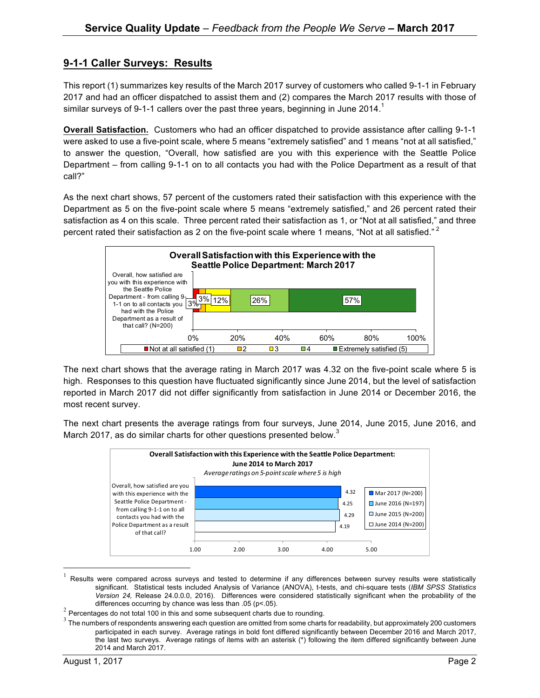### **9-1-1 Caller Surveys: Results**

This report (1) summarizes key results of the March 2017 survey of customers who called 9-1-1 in February 2017 and had an officer dispatched to assist them and (2) compares the March 2017 results with those of similar surveys of 9-1-1 callers over the past three years, beginning in June 2014.<sup>1</sup>

**Overall Satisfaction.** Customers who had an officer dispatched to provide assistance after calling 9-1-1 were asked to use a five-point scale, where 5 means "extremely satisfied" and 1 means "not at all satisfied," to answer the question, "Overall, how satisfied are you with this experience with the Seattle Police Department – from calling 9-1-1 on to all contacts you had with the Police Department as a result of that call?"

As the next chart shows, 57 percent of the customers rated their satisfaction with this experience with the Department as 5 on the five-point scale where 5 means "extremely satisfied," and 26 percent rated their satisfaction as 4 on this scale. Three percent rated their satisfaction as 1, or "Not at all satisfied," and three percent rated their satisfaction as 2 on the five-point scale where 1 means, "Not at all satisfied."<sup>2</sup>



The next chart shows that the average rating in March 2017 was 4.32 on the five-point scale where 5 is high. Responses to this question have fluctuated significantly since June 2014, but the level of satisfaction reported in March 2017 did not differ significantly from satisfaction in June 2014 or December 2016, the most recent survey.

The next chart presents the average ratings from four surveys, June 2014, June 2015, June 2016, and March 2017, as do similar charts for other questions presented below.<sup>3</sup>



 $1$  Results were compared across surveys and tested to determine if any differences between survey results were statistically significant. Statistical tests included Analysis of Variance (ANOVA), t-tests, and chi-square tests (*IBM SPSS Statistics Version 24,* Release 24.0.0.0, 2016). Differences were considered statistically significant when the probability of the

differences occurring by chance was less than .05 (p<.05).<br><sup>2</sup> Percentages do not total 100 in this and some subsequent charts due to rounding.

 $3$  The numbers of respondents answering each question are omitted from some charts for readability, but approximately 200 customers participated in each survey. Average ratings in bold font differed significantly between December 2016 and March 2017, the last two surveys. Average ratings of items with an asterisk (\*) following the item differed significantly between June 2014 and March 2017.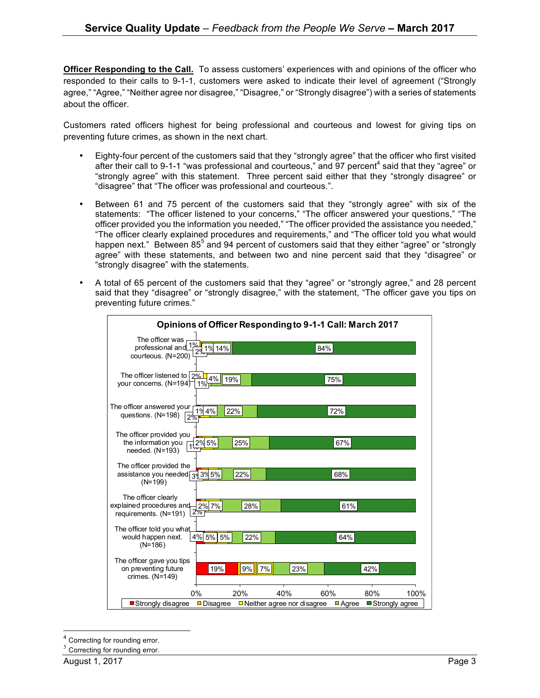**Officer Responding to the Call.** To assess customers' experiences with and opinions of the officer who responded to their calls to 9-1-1, customers were asked to indicate their level of agreement ("Strongly agree," "Agree," "Neither agree nor disagree," "Disagree," or "Strongly disagree") with a series of statements about the officer.

Customers rated officers highest for being professional and courteous and lowest for giving tips on preventing future crimes, as shown in the next chart.

- Eighty-four percent of the customers said that they "strongly agree" that the officer who first visited after their call to 9-1-1 "was professional and courteous," and 97 percent<sup>4</sup> said that they "agree" or "strongly agree" with this statement. Three percent said either that they "strongly disagree" or "disagree" that "The officer was professional and courteous.".
- Between 61 and 75 percent of the customers said that they "strongly agree" with six of the statements: "The officer listened to your concerns," "The officer answered your questions," "The officer provided you the information you needed," "The officer provided the assistance you needed," "The officer clearly explained procedures and requirements," and "The officer told you what would happen next." Between 85<sup>5</sup> and 94 percent of customers said that they either "agree" or "strongly agree" with these statements, and between two and nine percent said that they "disagree" or "strongly disagree" with the statements.
- A total of 65 percent of the customers said that they "agree" or "strongly agree," and 28 percent said that they "disagree" or "strongly disagree," with the statement, "The officer gave you tips on preventing future crimes."

| Opinions of Officer Responding to 9-1-1 Call: March 2017                            |                    |             |                                          |                |                         |      |
|-------------------------------------------------------------------------------------|--------------------|-------------|------------------------------------------|----------------|-------------------------|------|
| The officer was<br>professional and <sup>1</sup><br>courteous. (N=200)              | 1% 14%             |             |                                          | 84%            |                         |      |
| The officer listened to $ 2\% $<br>your concerns. (N=194)                           | 4%<br>19%<br>$1\%$ |             |                                          | 75%            |                         |      |
| The officer answered your<br>questions. (N=198)                                     | 4%<br>22%          |             |                                          | 72%            |                         |      |
| The officer provided you<br>the information you<br>needed. (N=193)                  | 2% 5%              | 25%         |                                          | 67%            |                         |      |
| The officer provided the<br>assistance you needed $\frac{1}{39}$ 3% 5%<br>$(N=199)$ |                    | 22%         |                                          | 68%            |                         |      |
| The officer clearly<br>explained procedures and-<br>requirements. (N=191)           | 2% 7%<br>$2\%$     | 28%         |                                          | 61%            |                         |      |
| The officer told you what.<br>would happen next.<br>$(N=186)$                       | 4% 5% 5%           | 22%         |                                          | 64%            |                         |      |
| The officer gave you tips<br>on preventing future<br>crimes. (N=149)                | 19%                | $7\%$<br>9% | 23%                                      |                | 42%                     |      |
| Strongly disagree                                                                   | 0%<br>Disagree     | 20%         | 40%<br>$\Box$ Neither agree nor disagree | 60%<br>■ Agree | 80%<br>■ Strongly agree | 100% |

Correcting for rounding error.

Correcting for rounding error.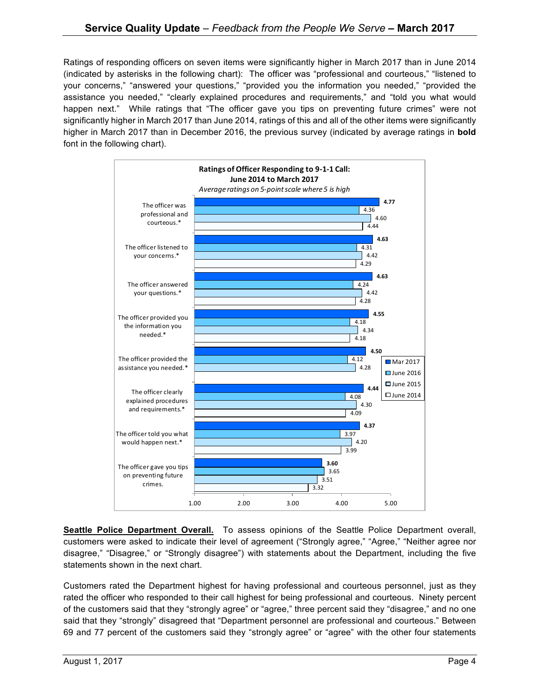Ratings of responding officers on seven items were significantly higher in March 2017 than in June 2014 (indicated by asterisks in the following chart): The officer was "professional and courteous," "listened to your concerns," "answered your questions," "provided you the information you needed," "provided the assistance you needed," "clearly explained procedures and requirements," and "told you what would happen next." While ratings that "The officer gave you tips on preventing future crimes" were not significantly higher in March 2017 than June 2014, ratings of this and all of the other items were significantly higher in March 2017 than in December 2016, the previous survey (indicated by average ratings in **bold** font in the following chart).



**Seattle Police Department Overall.** To assess opinions of the Seattle Police Department overall, customers were asked to indicate their level of agreement ("Strongly agree," "Agree," "Neither agree nor disagree," "Disagree," or "Strongly disagree") with statements about the Department, including the five statements shown in the next chart.

Customers rated the Department highest for having professional and courteous personnel, just as they rated the officer who responded to their call highest for being professional and courteous. Ninety percent of the customers said that they "strongly agree" or "agree," three percent said they "disagree," and no one said that they "strongly" disagreed that "Department personnel are professional and courteous." Between 69 and 77 percent of the customers said they "strongly agree" or "agree" with the other four statements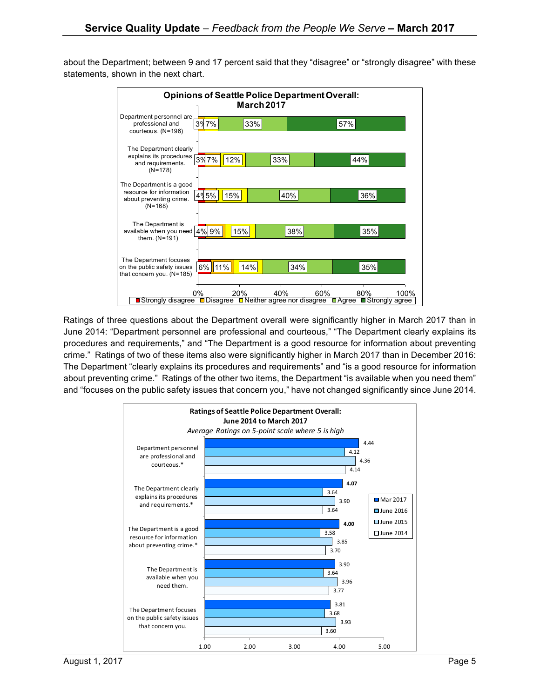6% 11% 4% 9% 4% 5% 3% 7% 3% 7% 14% 15% 15% 12% 34% 38% 40% 33% 33% 35% 35% 36% 44% 57% 0% 20% 40% 60% 80% 100% Strongly disagree Disagree Neither agree nor disagree Agree Strongly agree The Department focuses on the public safety issues that concern you. (N=185) The Department is available when you need them. (N=191) The Department is a good resource for information about preventing crime. (N=168) The Department clearly explains its procedures and requirements. (N=178) Department personnel are professional and courteous. (N=196) **Opinions of Seattle Police Department Overall: March 2017**

about the Department; between 9 and 17 percent said that they "disagree" or "strongly disagree" with these statements, shown in the next chart.

Ratings of three questions about the Department overall were significantly higher in March 2017 than in June 2014: "Department personnel are professional and courteous," "The Department clearly explains its procedures and requirements," and "The Department is a good resource for information about preventing crime." Ratings of two of these items also were significantly higher in March 2017 than in December 2016: The Department "clearly explains its procedures and requirements" and "is a good resource for information about preventing crime." Ratings of the other two items, the Department "is available when you need them" and "focuses on the public safety issues that concern you," have not changed significantly since June 2014.

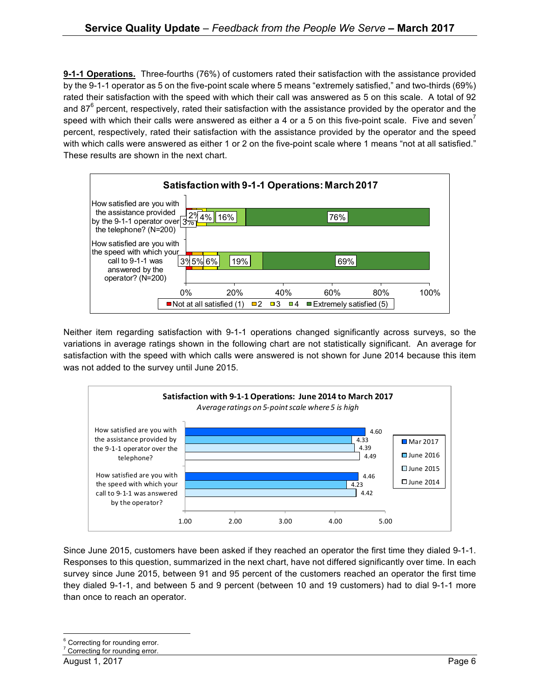**9-1-1 Operations.** Three-fourths (76%) of customers rated their satisfaction with the assistance provided by the 9-1-1 operator as 5 on the five-point scale where 5 means "extremely satisfied," and two-thirds (69%) rated their satisfaction with the speed with which their call was answered as 5 on this scale. A total of 92 and 87<sup>°</sup> percent, respectively, rated their satisfaction with the assistance provided by the operator and the speed with which their calls were answered as either a 4 or a 5 on this five-point scale. Five and seven<sup> $\prime$ </sup> percent, respectively, rated their satisfaction with the assistance provided by the operator and the speed with which calls were answered as either 1 or 2 on the five-point scale where 1 means "not at all satisfied." These results are shown in the next chart.



Neither item regarding satisfaction with 9-1-1 operations changed significantly across surveys, so the variations in average ratings shown in the following chart are not statistically significant. An average for satisfaction with the speed with which calls were answered is not shown for June 2014 because this item was not added to the survey until June 2015.



Since June 2015, customers have been asked if they reached an operator the first time they dialed 9-1-1. Responses to this question, summarized in the next chart, have not differed significantly over time. In each survey since June 2015, between 91 and 95 percent of the customers reached an operator the first time they dialed 9-1-1, and between 5 and 9 percent (between 10 and 19 customers) had to dial 9-1-1 more than once to reach an operator.

<sup>&</sup>lt;sup>6</sup> Correcting for rounding error.

<sup>&</sup>lt;sup>7</sup> Correcting for rounding error.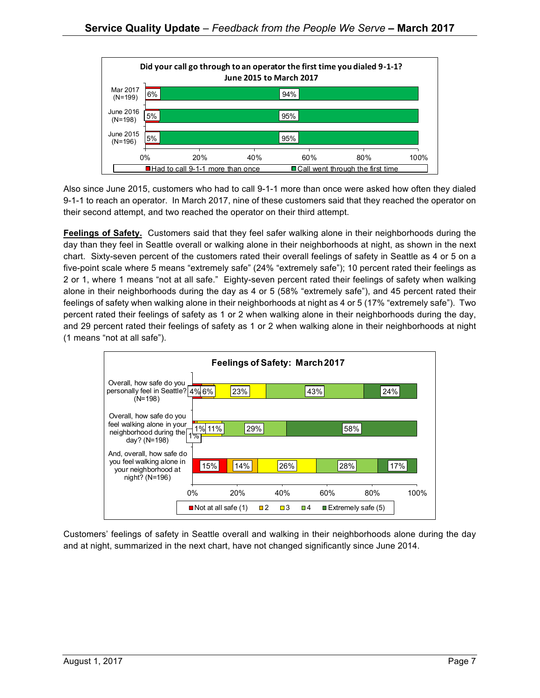

Also since June 2015, customers who had to call 9-1-1 more than once were asked how often they dialed 9-1-1 to reach an operator. In March 2017, nine of these customers said that they reached the operator on their second attempt, and two reached the operator on their third attempt.

**Feelings of Safety.** Customers said that they feel safer walking alone in their neighborhoods during the day than they feel in Seattle overall or walking alone in their neighborhoods at night, as shown in the next chart. Sixty-seven percent of the customers rated their overall feelings of safety in Seattle as 4 or 5 on a five-point scale where 5 means "extremely safe" (24% "extremely safe"); 10 percent rated their feelings as 2 or 1, where 1 means "not at all safe." Eighty-seven percent rated their feelings of safety when walking alone in their neighborhoods during the day as 4 or 5 (58% "extremely safe"), and 45 percent rated their feelings of safety when walking alone in their neighborhoods at night as 4 or 5 (17% "extremely safe"). Two percent rated their feelings of safety as 1 or 2 when walking alone in their neighborhoods during the day, and 29 percent rated their feelings of safety as 1 or 2 when walking alone in their neighborhoods at night (1 means "not at all safe").



Customers' feelings of safety in Seattle overall and walking in their neighborhoods alone during the day and at night, summarized in the next chart, have not changed significantly since June 2014.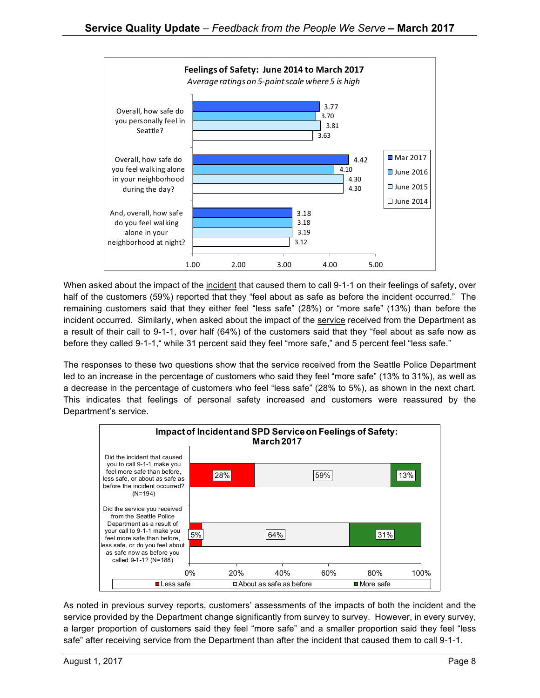

When asked about the impact of the incident that caused them to call 9-1-1 on their feelings of safety, over half of the customers (59%) reported that they "feel about as safe as before the incident occurred." The remaining customers said that they either feel "less safe" (28%) or "more safe" (13%) than before the incident occurred. Similarly, when asked about the impact of the service received from the Department as a result of their call to 9-1-1, over half (64%) of the customers said that they "feel about as safe now as before they called 9-1-1," while 31 percent said they feel "more safe," and 5 percent feel "less safe."

The responses to these two questions show that the service received from the Seattle Police Department led to an increase in the percentage of customers who said they feel "more safe" (13% to 31%), as well as a decrease in the percentage of customers who feel "less safe" (28% to 5%), as shown in the next chart. This indicates that feelings of personal safety increased and customers were reassured by the Department's service.



As noted in previous survey reports, customers' assessments of the impacts of both the incident and the service provided by the Department change significantly from survey to survey. However, in every survey, a larger proportion of customers said they feel "more safe" and a smaller proportion said they feel "less safe" after receiving service from the Department than after the incident that caused them to call 9-1-1.